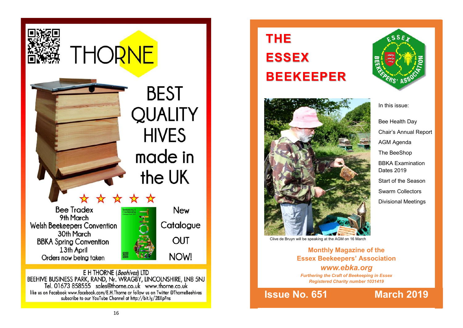

BEEHIVE BUSINESS PARK, RAND, Nr. WRAGBY, LINCOLNSHIRE, LN8 5NJ<br>Tel. 01673 858555 sales@thorne.co.uk www.thorne.co.uk like us on Facebook www.facebook.com/E.H.Thorne or follow us on Twitter @ThorneBeehives subscribe to our YouTube Channel at http://bit.ly/2BXpFns

# **THE ESSEX BEEKEEPER**



In this issue:

Bee Health Day Chair's Annual Report AGM Agenda The BeeShop BBKA Examination Dates 2019 Start of the Season Swarm Collectors Divisional Meetings

Clive de Bruyn will be speaking at the AGM on 16 March

**Monthly Magazine of the Essex Beekeepers' Association** *www.ebka.org Furthering the Craft of Beekeeping in Essex Registered Charity number 1031419*

**Issue No. 651 March 2019**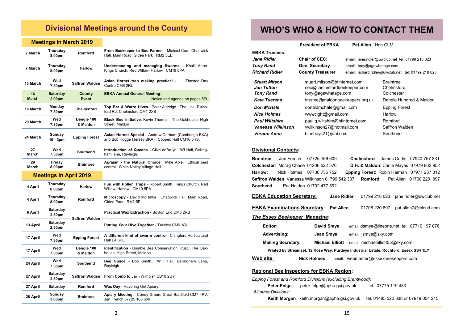# **Divisional Meetings around the County**

### **Meetings in March 2019**

| 7 March                       | Thursday<br>8.00pm        | Romford                | From Beekeeper to Bee Farmer - Michael Coe. Chadwick<br>Hall, Main Road, Gidea Park RM2 5EL               |  |  |
|-------------------------------|---------------------------|------------------------|-----------------------------------------------------------------------------------------------------------|--|--|
| 7 March                       | Thursday<br>8.00pm        | <b>Harlow</b>          | <b>Understanding and managing Swarms - Khalil Attan.</b><br>Kings Church, Red Willow, Harlow CM19 5PA     |  |  |
| 13 March                      | Wed<br>7.30pm             | <b>Saffron Walden</b>  | Thaxted Day<br>Asian Hornet trap making practical -<br>Centre CM6 2RL                                     |  |  |
| 16<br><b>March</b>            | <b>Saturday</b><br>2.00pm | County<br><b>Event</b> | <b>EBKA Annual General Meeting.</b><br>Notice and agenda on pages 8/9.                                    |  |  |
| 18 March                      | Monday<br>7.30pm          | Chelmsford             | Top Bar & Warre Hives. Peter Aldridge. The Link, Rains-<br>ford Rd. Chelmsford CM1 2XB                    |  |  |
| 20 March                      | Wed<br>7.30pm             | Dengie 100<br>& Maldon | <b>Black Bee initiative.</b> Kevin Thorne.<br>The Oakhouse, High<br>Street. Maldon                        |  |  |
| 24 March                      | Sunday<br>10 - 3pm        | <b>Epping Forest</b>   | Asian Hornet Special - Andrew Durham (Cambridge BKA)<br>and Bob Hogge (Jersey BKA). Copped Hall CM16 5HS. |  |  |
| 27<br>March                   | Wed<br>7.30pm             | Southend               | Introduction of Queens - Clive deBruyn. WI Hall, Belling-<br>ham lane, Rayleigh.                          |  |  |
| 29<br>March                   | Friday<br>8.00pm          | <b>Braintree</b>       | Agraian - the Natural Choice. Mike Able. Ethical pest<br>control. White Notley Village Hall               |  |  |
| <b>Meetings in April 2019</b> |                           |                        |                                                                                                           |  |  |
| 4 April                       | Thursday<br>8.00pm        | <b>Harlow</b>          | Fun with Pollen Traps - Robert Smith. Kings Church, Red<br>Willow, Harlow CM19 5PA                        |  |  |
| 4 April                       | Thursday<br>8.00pm        | Romford                | Microscopy - David McHattie. Chadwick Hall, Main Road,<br>Gidea Park RM2 5EL                              |  |  |
| 6 April                       | Saturday<br>2.30pm        | <b>Saffron Walden</b>  | Practical Wax Extraction - Boyton End CM6 2RB                                                             |  |  |
| 13 April                      | Saturday<br>2.30pm        |                        | Putting Your Hive Together - Takeley CM6 1SU                                                              |  |  |
| 17 April                      | Wed<br>7.30pm             | <b>Epping Forest</b>   | A different kind of swarm control. Chingford Horticultural<br>Hall E4 6PE                                 |  |  |
| 17 April                      | Wed<br>7.30pm             | Dengie 100<br>& Maldon | <b>Identification</b> - Bumble Bee Conservation Trust. The Oak-<br>house, High Street, Maldon             |  |  |
| 24 April                      | Wed<br>7.30pm             | Southend               | W I Hall, Bellingham Lane,<br>Bee Space - Bob Smith.<br>Rayleigh                                          |  |  |
| 27 April                      | Saturday<br>2.30pm        | Saffron Walden         | <b>From Comb to Jar - Wimbish CB10 2UY</b>                                                                |  |  |
| 27 April                      | Saturday                  | Romford                | Wax Day - Havering Out Apiary.                                                                            |  |  |
| 28 April                      | Sunday<br>3.00pm          | <b>Braintree</b>       | Apiary Meeting - Coney Green, Great Bardfield CM7 4PV.<br>Jan French 07725 166 609                        |  |  |

# **WHO'S WHO & HOW TO CONTACT THEM**

**President of EBKA Pat Allen** Hon CLM

| <b>EBKA Trustees:</b>                                                                                           |                                                                                                               |                                                  |                                                                                                                                                 |  |  |  |  |
|-----------------------------------------------------------------------------------------------------------------|---------------------------------------------------------------------------------------------------------------|--------------------------------------------------|-------------------------------------------------------------------------------------------------------------------------------------------------|--|--|--|--|
| <b>Jane Ridler</b>                                                                                              | <b>Chair of CEC:</b>                                                                                          | email: jane.ridler@uwclub.net tel. 01799 218 023 |                                                                                                                                                 |  |  |  |  |
| <b>Tony Rand</b>                                                                                                | Gen. Secretary:<br>email: tony@agewhatage.com                                                                 |                                                  |                                                                                                                                                 |  |  |  |  |
| <b>Richard Ridler</b>                                                                                           | <b>County Treasurer</b>                                                                                       |                                                  | email: richard.ridler@uwclub.net tel: 01799 218 023                                                                                             |  |  |  |  |
| <b>Stuart Mitson</b><br><b>Jan Tutton</b><br><b>Tony Rand</b>                                                   | stuart.mitson@btinternet.com<br>cec@chelmsfordbeekeeper.com<br>tony@agewhatage.com                            |                                                  | <b>Braintree</b><br>Chelmsford<br>Colchester                                                                                                    |  |  |  |  |
| <b>Kate Tuerena</b>                                                                                             | trustee@maldonbeekeepers.org.uk                                                                               |                                                  | Dengie Hundred & Maldon                                                                                                                         |  |  |  |  |
| <b>Don McHale</b>                                                                                               | donaldmchale@gmail.com                                                                                        |                                                  | <b>Epping Forest</b>                                                                                                                            |  |  |  |  |
| <b>Nick Holmes</b>                                                                                              | www.cight@gmail.com                                                                                           |                                                  | Harlow                                                                                                                                          |  |  |  |  |
| <b>Paul Wiltshire</b><br>Vanessa Wilkinson<br><b>Vernon Amor</b>                                                | paul.g.wiltshire@btinternet.com<br>vwilkinson27@hotmail.com<br>blueboys21@aol.com                             |                                                  | Romford<br>Saffron Walden<br>Southend                                                                                                           |  |  |  |  |
| <b>Divisional Contacts:</b>                                                                                     |                                                                                                               |                                                  |                                                                                                                                                 |  |  |  |  |
| <b>Braintree:</b><br>Jan French<br>Colchester: Morag Chase 01206 522 576<br>Harlow:<br>Nick Holmes<br>Southend: | 07725 166 609<br>07730 735 752<br>Saffron Walden: Vanessa Wilkinson 01799 542 337<br>Pat Holden 01702 477 592 | Chelmsford:<br>Romford:                          | James Curtis 07940 757 831<br>D.H. & Maldon: Carlie Mayes 07979 862 952<br>Epping Forest: Robin Harman 07971 237 312<br>Pat Allen 01708 220 897 |  |  |  |  |
| <b>EBKA Education Secretary:</b><br><b>Jane Ridler</b><br>jane.ridler@uwclub.net<br>01799 218 023               |                                                                                                               |                                                  |                                                                                                                                                 |  |  |  |  |
|                                                                                                                 | <b>EBKA Examinations Secretary:</b> Pat Allen                                                                 | 01708 220 897                                    | pat.allen7@icloud.com                                                                                                                           |  |  |  |  |
| The Essex Beekeeper Magazine:                                                                                   |                                                                                                               |                                                  |                                                                                                                                                 |  |  |  |  |
| Editor:                                                                                                         | David Smye                                                                                                    |                                                  | email: dsmye@lineone.net_tel. 07710 197 078                                                                                                     |  |  |  |  |
| Advertising:                                                                                                    | Jean Smye                                                                                                     | email: jsmye@sky.com                             |                                                                                                                                                 |  |  |  |  |
| <b>Mailing Secretary:</b>                                                                                       | <b>Michael Elliott</b>                                                                                        |                                                  | email: michaelelliott55@sky.com                                                                                                                 |  |  |  |  |
| Printed by Streamset, 12 Rose Way, Purdeys Industrial Estate, Rochford, Essex SS4 1LY                           |                                                                                                               |                                                  |                                                                                                                                                 |  |  |  |  |
| Web site:                                                                                                       | <b>Nick Holmes</b>                                                                                            | email: webmaster@essexbeekeepers.com             |                                                                                                                                                 |  |  |  |  |
| <b>Regional Bee Inspectors for EBKA Region:</b>                                                                 |                                                                                                               |                                                  |                                                                                                                                                 |  |  |  |  |
| Epping Forest and Romford Divisions (excluding Brentwood):                                                      |                                                                                                               |                                                  |                                                                                                                                                 |  |  |  |  |
| Peter Folge<br>peter.folge@apha.gsi.gov.uk<br>tel. 07775 119 433<br>All other Divisions:                        |                                                                                                               |                                                  |                                                                                                                                                 |  |  |  |  |

**Keith Morgan** keith.morgan@apha.gsi.gov.uk tel. 01485 520 838 or 07919 004 215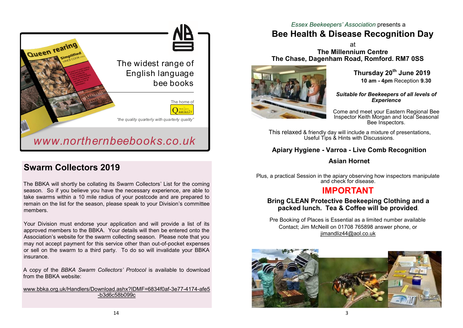

# **Swarm Collectors 2019**

The BBKA will shortly be collating its Swarm Collectors' List for the coming season. So if you believe you have the necessary experience, are able to take swarms within a 10 mile radius of your postcode and are prepared to remain on the list for the season, please speak to your Division's committee members.

Your Division must endorse your application and will provide a list of its approved members to the BBKA. Your details will then be entered onto the Association's website for the swarm collecting season. Please note that you may not accept payment for this service other than out-of-pocket expenses or sell on the swarm to a third party. To do so will invalidate your BBKA insurance.

A copy of the *BBKA Swarm Collectors' Protocol* is available to download from the BBKA website:

[www.bbka.org.uk/Handlers/Download.ashx?IDMF=6834f0af](http://www.bbka.org.uk/Handlers/Download.ashx?IDMF=6834f0af-3e77-4174-afe5-b3d6c58b099c)-3e77-4174-afe5 -[b3d6c58b099c](http://www.bbka.org.uk/Handlers/Download.ashx?IDMF=6834f0af-3e77-4174-afe5-b3d6c58b099c)

### *Essex Beekeepers' Association* presents a

# **Bee Health & Disease Recognition Day**

at **The Millennium Centre The Chase, Dagenham Road, Romford. RM7 0SS**



**Thursday 20th June 2019 10 am - 4pm** Reception **9.30**

*Suitable for Beekeepers of all levels of Experience*

Come and meet your Eastern Regional Bee Inspector Keith Morgan and local Seasonal Bee Inspectors.

This relaxed & friendly day will include a mixture of presentations, Useful Tips & Hints with Discussions.

## **Apiary Hygiene - Varroa - Live Comb Recognition**

### **Asian Hornet**

Plus, a practical Session in the apiary observing how inspectors manipulate and check for disease.

# **IMPORTANT**

### **Bring CLEAN Protective Beekeeping Clothing and a packed lunch. Tea & Coffee will be provided**.

Pre Booking of Places is Essential as a limited number available Contact; Jim McNeill on 01708 765898 answer phone, or iimandliz44@aol.co.uk

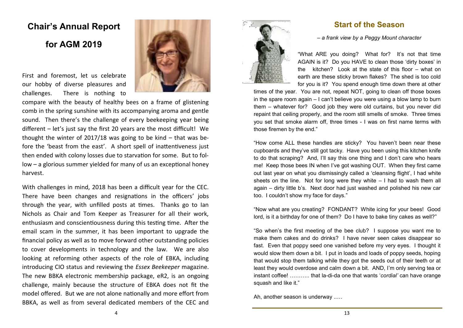# **Chair's Annual Report**

# **for AGM 2019**

First and foremost, let us celebrate our hobby of diverse pleasures and challenges. There is nothing to



compare with the beauty of healthy bees on a frame of glistening comb in the spring sunshine with its accompanying aroma and gentle sound. Then there's the challenge of every beekeeping year being different – let's just say the first 20 years are the most difficult! We thought the winter of 2017/18 was going to be kind – that was before the 'beast from the east'. A short spell of inattentiveness just then ended with colony losses due to starvation for some. But to follow – a glorious summer yielded for many of us an exceptional honey harvest.

With challenges in mind, 2018 has been a difficult year for the CEC. There have been changes and resignations in the officers' jobs through the year, with unfilled posts at times. Thanks go to Ian Nichols as Chair and Tom Keeper as Treasurer for all their work, enthusiasm and conscientiousness during this testing time. After the email scam in the summer, it has been important to upgrade the financial policy as well as to move forward other outstanding policies to cover developments in technology and the law. We are also looking at reforming other aspects of the role of EBKA, including introducing CIO status and reviewing the *Essex Beekeeper* magazine. The new BBKA electronic membership package, eR2, is an ongoing challenge, mainly because the structure of EBKA does not fit the model offered. But we are not alone nationally and more effort from BBKA, as well as from several dedicated members of the CEC and



### **Start of the Season**

*– a frank view by a Peggy Mount character*

"What ARE you doing? What for? It's not that time AGAIN is it? Do you HAVE to clean those 'dirty boxes' in the kitchen? Look at the state of this floor – what on earth are these sticky brown flakes? The shed is too cold for you is it? You spend enough time down there at other

times of the year. You are not, repeat NOT, going to clean off those boxes in the spare room again – I can't believe you were using a blow lamp to burn them – whatever for? Good job they were old curtains, but you never did repaint that ceiling properly, and the room still smells of smoke. Three times you set that smoke alarm off, three times - I was on first name terms with those firemen by the end."

"How come ALL these handles are sticky? You haven't been near these cupboards and they've still got tacky. Have you been using this kitchen knife to do that scraping? And, I'll say this one thing and I don't care who hears me! Keep those bees IN when I've got washing OUT. When they first came out last year on what you dismissingly called a 'cleansing flight', I had white sheets on the line. Not for long were they white – I had to wash them all again – dirty little b's. Next door had just washed and polished his new car too. I couldn't show my face for days."

"Now what are you creating? FONDANT? White icing for your bees! Good lord, is it a birthday for one of them? Do I have to bake tiny cakes as well?"

"So when's the first meeting of the bee club? I suppose you want me to make them cakes and do drinks? I have never seen cakes disappear so fast. Even that poppy seed one vanished before my very eyes. I thought it would slow them down a bit. I put in loads and loads of poppy seeds, hoping that would stop them talking while they got the seeds out of their teeth or at least they would overdose and calm down a bit. AND, I'm only serving tea or instant coffee! ……….. that la-di-da one that wants '*cordial'* can have orange squash and like it."

Ah, another season is underway ..…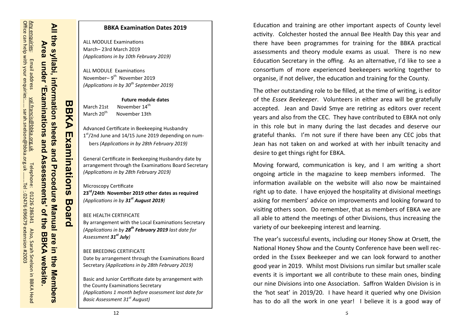# All the syllabi, information sheets and Procedure Manual are in the Members **All the syllabi, information sheets and Procedure Manual are in the Members Area Area under 'Examinations and Assessments' of the BBKA website.** under Suoihanimations and Asse šă ments'  $\overline{a}$ the<br> **BBKA website**

# **BBKA BBKA Examinations Board**  Examination  $\overline{w}$  $\overline{\mathbf{u}}$ oard

# March 21st November 14<sup>th</sup> March 20<sup>th</sup> Advanced Certificate in Beekeeping Husbandry 1<sup>st</sup>/2nd June and 14/15 June 2019 depending on numbers *(Applications in by 28th February 2019)*

ALL MODULE Examinations March– 23rd March 2019

ALL MODULE Examinations November–9<sup>th</sup> November 2019

*(Applications in by 10th February 2019)*

*(Applications in by 30th September 2019)*

November 13th

General Certificate in Beekeeping Husbandry date by arrangement through the Examinations Board Secretary *(Applications in by 28th February 2019)*

**Future module dates**

**BBKA Examination Dates 2019**

### Microscopy Certificate **23rd/24th November 2019 other dates as required** *(Applications in by 31st August 2019)*

### BEE HEALTH CERTIFICATE By arrangement with the Local Examinations Secretary *(Applications in by 28th February 2019 last date for Assessment 31st July)*

### BEE BREEDING CERTIFICATE Date by arrangement through the Examinations Board Secretary *(Applications in by 28th February 2019)*

Basic and Junior Certificate date by arrangement with the County Examinations Secretary *(Applications 1 month before assessment last date for Basic Assessment 31st August)*

Education and training are other important aspects of County level activity. Colchester hosted the annual Bee Health Day this year and there have been programmes for training for the BBKA practical assessments and theory module exams as usual. There is no new Education Secretary in the offing. As an alternative, I'd like to see a consortium of more experienced beekeepers working together to organise, if not deliver, the education and training for the County.

The other outstanding role to be filled, at the time of writing, is editor of the *Essex Beekeeper*. Volunteers in either area will be gratefully accepted. Jean and David Smye are retiring as editors over recent years and also from the CEC. They have contributed to EBKA not only in this role but in many during the last decades and deserve our grateful thanks. I'm not sure if there have been any CEC jobs that Jean has not taken on and worked at with her inbuilt tenacity and desire to get things right for EBKA.

Moving forward, communication is key, and I am writing a short ongoing article in the magazine to keep members informed. The information available on the website will also now be maintained right up to date. I have enjoyed the hospitality at divisional meetings asking for members' advice on improvements and looking forward to visiting others soon. Do remember, that as members of EBKA we are all able to attend the meetings of other Divisions, thus increasing the variety of our beekeeping interest and learning.

The year's successful events, including our Honey Show at Orsett, the National Honey Show and the County Conference have been well recorded in the Essex Beekeeper and we can look forward to another good year in 2019. Whilst most Divisions run similar but smaller scale events it is important we all contribute to these main ones, binding our nine Divisions into one Association. Saffron Walden Division is in the 'hot seat' in 2019/20. I have heard it queried why one Division has to do all the work in one year! I believe it is a good way of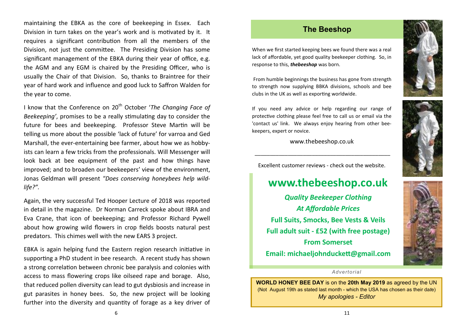maintaining the EBKA as the core of beekeeping in Essex. Each Division in turn takes on the year's work and is motivated by it. It requires a significant contribution from all the members of the Division, not just the committee. The Presiding Division has some significant management of the EBKA during their year of office, e.g. the AGM and any EGM is chaired by the Presiding Officer, who is usually the Chair of that Division. So, thanks to Braintree for their year of hard work and influence and good luck to Saffron Walden for the year to come.

I know that the Conference on 20<sup>th</sup> October '*The Changing Face of Beekeeping'*, promises to be a really stimulating day to consider the future for bees and beekeeping. Professor Steve Martin will be telling us more about the possible 'lack of future' for varroa and Ged Marshall, the ever-entertaining bee farmer, about how we as hobbyists can learn a few tricks from the professionals. Will Messenger will look back at bee equipment of the past and how things have improved; and to broaden our beekeepers' view of the environment, Jonas Geldman will present *"Does conserving honeybees help wildlife?".* 

Again, the very successful Ted Hooper Lecture of 2018 was reported in detail in the magazine. Dr Norman Carreck spoke about IBRA and Eva Crane, that icon of beekeeping; and Professor Richard Pywell about how growing wild flowers in crop fields boosts natural pest predators. This chimes well with the new EARS 3 project.

EBKA is again helping fund the Eastern region research initiative in supporting a PhD student in bee research. A recent study has shown a strong correlation between chronic bee paralysis and colonies with access to mass flowering crops like oilseed rape and borage. Also, that reduced pollen diversity can lead to gut dysbiosis and increase in gut parasites in honey bees. So, the new project will be looking further into the diversity and quantity of forage as a key driver of

### **The Beeshop**

[When we first started keeping bees we found there was a real](javascript:HLExecute()  [lack of affordable, yet good quality beekeeper clothing. So, in](javascript:HLExecute()  [response to this,](javascript:HLExecute() *thebeeshop* was born.

[From humble beginnings the business has gone from strength](javascript:HLExecute()  [to strength now supplying BBKA divisions, schools and bee](javascript:HLExecute()  [clubs in the UK as well as exporting worldwide.](javascript:HLExecute()

[If you need any advice or help regarding our range of](javascript:HLExecute()  [protective clothing please feel free to call us or email via the](javascript:HLExecute()  ['contact us' link. We always enjoy hearing from other bee](javascript:HLExecute()[keepers, expert or novice.](javascript:HLExecute()

www.thebeeshop.co.uk

\_\_\_\_\_\_\_\_\_\_\_\_\_\_\_\_\_\_\_\_\_\_\_\_\_\_\_\_\_\_\_\_\_\_\_\_\_\_\_\_\_\_\_\_\_

Excellent customer reviews - check out the website.

# **www.thebeeshop.co.uk**

*Quality Beekeeper Clothing At Affordable Prices* **Full Suits, Smocks, Bee Vests & Veils Full adult suit - £52 (with free postage) From Somerset Email: michaeljohnduckett@gmail.com**



### *Advertorial*

**WORLD HONEY BEE DAY** is on the **20th May 2019** as agreed by the UN (Not August 19th as stated last month - which the USA has chosen as their da*t*e) *My apologies - Editor*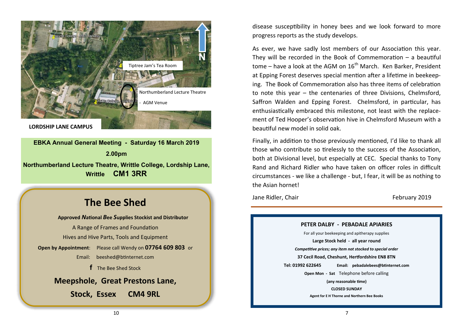

**EBKA Annual General Meeting - Saturday 16 March 2019 2.00pm Northumberland Lecture Theatre, Writtle College, Lordship Lane, Writtle CM1 3RR**

# **The Bee Shed**

**Approved** *N***ational** *B***ee** *S***upplies Stockist and Distributor** A Range of Frames and Foundation Hives and Hive Parts, Tools and Equipment **Open by Appointment**: Please call Wendy on **07764 609 803** or Email: [beeshed@btinternet.com](mailto:beeshed@btinternet.com)  **f** The Bee Shed Stock **Meepshole, Great Prestons Lane, Stock, Essex CM4 9RL**

disease susceptibility in honey bees and we look forward to more progress reports as the study develops.

As ever, we have sadly lost members of our Association this year. They will be recorded in the Book of Commemoration – a beautiful tome – have a look at the AGM on  $16<sup>th</sup>$  March. Ken Barker, President at Epping Forest deserves special mention after a lifetime in beekeeping. The Book of Commemoration also has three items of celebration to note this year – the centenaries of three Divisions, Chelmsford, Saffron Walden and Epping Forest. Chelmsford, in particular, has enthusiastically embraced this milestone, not least with the replacement of Ted Hooper's observation hive in Chelmsford Museum with a beautiful new model in solid oak.

Finally, in addition to those previously mentioned, I'd like to thank all those who contribute so tirelessly to the success of the Association, both at Divisional level, but especially at CEC. Special thanks to Tony Rand and Richard Ridler who have taken on officer roles in difficult circumstances - we like a challenge - but, I fear, it will be as nothing to the Asian hornet!

Jane Ridler, Chair February 2019